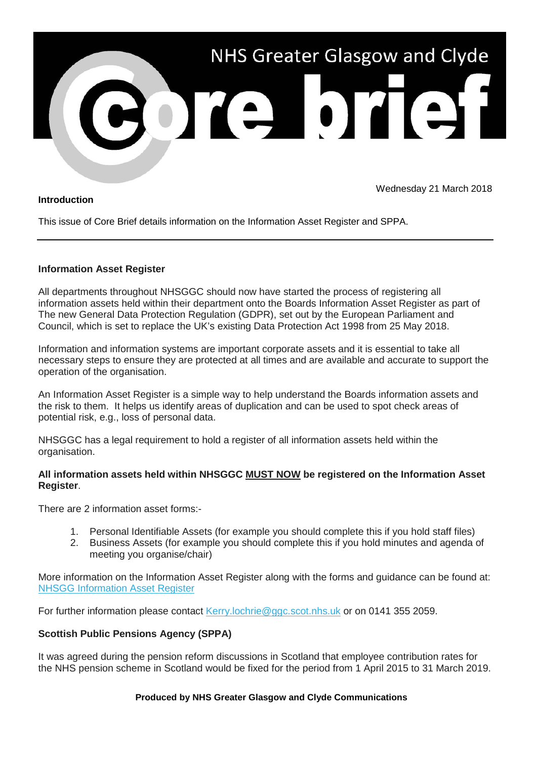

## **Introduction**

Wednesday 21 March 2018

This issue of Core Brief details information on the Information Asset Register and SPPA.

## **Information Asset Register**

All departments throughout NHSGGC should now have started the process of registering all information assets held within their department onto the Boards Information Asset Register as part of The new General Data Protection Regulation (GDPR), set out by the European Parliament and Council, which is set to replace the UK's existing Data Protection Act 1998 from 25 May 2018.

Information and information systems are important corporate assets and it is essential to take all necessary steps to ensure they are protected at all times and are available and accurate to support the operation of the organisation.

An Information Asset Register is a simple way to help understand the Boards information assets and the risk to them. It helps us identify areas of duplication and can be used to spot check areas of potential risk, e.g., loss of personal data.

NHSGGC has a legal requirement to hold a register of all information assets held within the organisation.

## **All information assets held within NHSGGC MUST NOW be registered on the Information Asset Register**.

There are 2 information asset forms:-

- 1. Personal Identifiable Assets (for example you should complete this if you hold staff files)
- 2. Business Assets (for example you should complete this if you hold minutes and agenda of meeting you organise/chair)

More information on the Information Asset Register along with the forms and guidance can be found at: [NHSGG Information Asset Register](https://nhsggc.us12.list-manage.com/track/click?u=0f385b5aea37eaf0213bd19fb&id=5c966c6bc4&e=5af5e1832c)

For further information please contact [Kerry.lochrie@ggc.scot.nhs.uk](mailto:Kerry.Lochrie@ggc.scot.nhs.uk?subject=Asset%20Register) or on 0141 355 2059.

# **Scottish Public Pensions Agency (SPPA)**

It was agreed during the pension reform discussions in Scotland that employee contribution rates for the NHS pension scheme in Scotland would be fixed for the period from 1 April 2015 to 31 March 2019.

### **Produced by NHS Greater Glasgow and Clyde Communications**